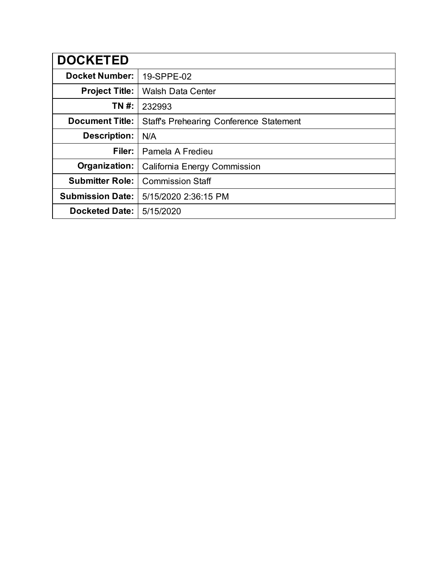| <b>DOCKETED</b>         |                                                |  |  |
|-------------------------|------------------------------------------------|--|--|
| <b>Docket Number:</b>   | 19-SPPE-02                                     |  |  |
| <b>Project Title:</b>   | <b>Walsh Data Center</b>                       |  |  |
| TN #:                   | 232993                                         |  |  |
| <b>Document Title:</b>  | <b>Staff's Prehearing Conference Statement</b> |  |  |
| <b>Description:</b>     | N/A                                            |  |  |
| Filer:                  | Pamela A Fredieu                               |  |  |
| Organization:           | California Energy Commission                   |  |  |
| <b>Submitter Role:</b>  | <b>Commission Staff</b>                        |  |  |
| <b>Submission Date:</b> | 5/15/2020 2:36:15 PM                           |  |  |
| <b>Docketed Date:</b>   | 5/15/2020                                      |  |  |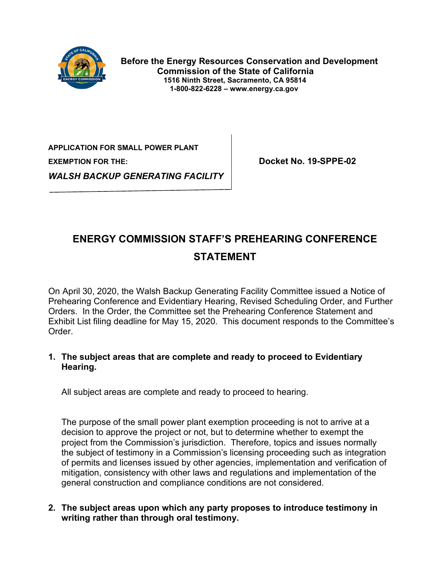

**Before the Energy Resources Conservation and Development Commission of the State of California 1516 Ninth Street, Sacramento, CA 95814 1-800-822-6228 – [www.energy.ca.gov](http://www.energy.ca.gov/)**

**APPLICATION FOR SMALL POWER PLANT EXEMPTION FOR THE:**  $\vert$  Docket No. 19-SPPE-02 *WALSH BACKUP GENERATING FACILITY*

## **ENERGY COMMISSION STAFF'S PREHEARING CONFERENCE STATEMENT**

On April 30, 2020, the Walsh Backup Generating Facility Committee issued a Notice of Prehearing Conference and Evidentiary Hearing, Revised Scheduling Order, and Further Orders. In the Order, the Committee set the Prehearing Conference Statement and Exhibit List filing deadline for May 15, 2020. This document responds to the Committee's Order.

**1. The subject areas that are complete and ready to proceed to Evidentiary Hearing.**

All subject areas are complete and ready to proceed to hearing.

The purpose of the small power plant exemption proceeding is not to arrive at a decision to approve the project or not, but to determine whether to exempt the project from the Commission's jurisdiction. Therefore, topics and issues normally the subject of testimony in a Commission's licensing proceeding such as integration of permits and licenses issued by other agencies, implementation and verification of mitigation, consistency with other laws and regulations and implementation of the general construction and compliance conditions are not considered.

**2. The subject areas upon which any party proposes to introduce testimony in writing rather than through oral testimony.**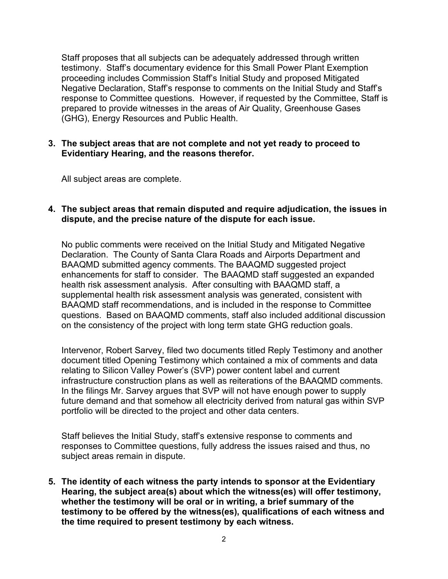Staff proposes that all subjects can be adequately addressed through written testimony. Staff's documentary evidence for this Small Power Plant Exemption proceeding includes Commission Staff's Initial Study and proposed Mitigated Negative Declaration, Staff's response to comments on the Initial Study and Staff's response to Committee questions. However, if requested by the Committee, Staff is prepared to provide witnesses in the areas of Air Quality, Greenhouse Gases (GHG), Energy Resources and Public Health.

## **3. The subject areas that are not complete and not yet ready to proceed to Evidentiary Hearing, and the reasons therefor.**

All subject areas are complete.

## **4. The subject areas that remain disputed and require adjudication, the issues in dispute, and the precise nature of the dispute for each issue.**

No public comments were received on the Initial Study and Mitigated Negative Declaration. The County of Santa Clara Roads and Airports Department and BAAQMD submitted agency comments. The BAAQMD suggested project enhancements for staff to consider. The BAAQMD staff suggested an expanded health risk assessment analysis. After consulting with BAAQMD staff, a supplemental health risk assessment analysis was generated, consistent with BAAQMD staff recommendations, and is included in the response to Committee questions. Based on BAAQMD comments, staff also included additional discussion on the consistency of the project with long term state GHG reduction goals.

Intervenor, Robert Sarvey, filed two documents titled Reply Testimony and another document titled Opening Testimony which contained a mix of comments and data relating to Silicon Valley Power's (SVP) power content label and current infrastructure construction plans as well as reiterations of the BAAQMD comments. In the filings Mr. Sarvey argues that SVP will not have enough power to supply future demand and that somehow all electricity derived from natural gas within SVP portfolio will be directed to the project and other data centers.

Staff believes the Initial Study, staff's extensive response to comments and responses to Committee questions, fully address the issues raised and thus, no subject areas remain in dispute.

**5. The identity of each witness the party intends to sponsor at the Evidentiary Hearing, the subject area(s) about which the witness(es) will offer testimony, whether the testimony will be oral or in writing, a brief summary of the testimony to be offered by the witness(es), qualifications of each witness and the time required to present testimony by each witness.**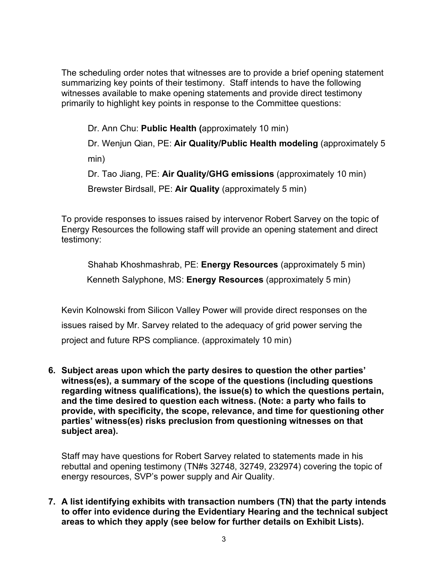The scheduling order notes that witnesses are to provide a brief opening statement summarizing key points of their testimony. Staff intends to have the following witnesses available to make opening statements and provide direct testimony primarily to highlight key points in response to the Committee questions:

Dr. Ann Chu: **Public Health (**approximately 10 min)

Dr. Wenjun Qian, PE: **Air Quality/Public Health modeling** (approximately 5 min)

Dr. Tao Jiang, PE: **Air Quality/GHG emissions** (approximately 10 min) Brewster Birdsall, PE: **Air Quality** (approximately 5 min)

To provide responses to issues raised by intervenor Robert Sarvey on the topic of Energy Resources the following staff will provide an opening statement and direct testimony:

Shahab Khoshmashrab, PE: **Energy Resources** (approximately 5 min) Kenneth Salyphone, MS: **Energy Resources** (approximately 5 min)

Kevin Kolnowski from Silicon Valley Power will provide direct responses on the issues raised by Mr. Sarvey related to the adequacy of grid power serving the project and future RPS compliance. (approximately 10 min)

**6. Subject areas upon which the party desires to question the other parties' witness(es), a summary of the scope of the questions (including questions regarding witness qualifications), the issue(s) to which the questions pertain, and the time desired to question each witness. (Note: a party who fails to provide, with specificity, the scope, relevance, and time for questioning other parties' witness(es) risks preclusion from questioning witnesses on that subject area).**

Staff may have questions for Robert Sarvey related to statements made in his rebuttal and opening testimony (TN#s 32748, 32749, 232974) covering the topic of energy resources, SVP's power supply and Air Quality.

**7. A list identifying exhibits with transaction numbers (TN) that the party intends to offer into evidence during the Evidentiary Hearing and the technical subject areas to which they apply (see below for further details on Exhibit Lists).**